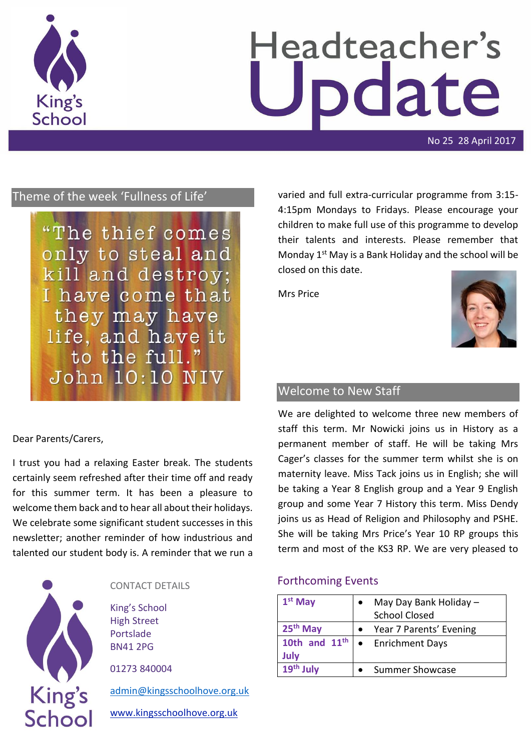

# Headteacher's odate

No 25 28 April 2017

# Theme of the week 'Fullness of Life'

"The thief comes only to steal and kill and destroy; I have come that they may have life, and have it to the full." John 10:10 NIV

Dear Parents/Carers,

I trust you had a relaxing Easter break. The students certainly seem refreshed after their time off and ready for this summer term. It has been a pleasure to welcome them back and to hear all about their holidays. We celebrate some significant student successes in this newsletter; another reminder of how industrious and talented our student body is. A reminder that we run a



#### CONTACT DETAILS

King's School High Street Portslade BN41 2PG

01273 840004

[admin@kingsschoolhove.org.uk](mailto:admin@kingsschoolhove.org.uk)

[www.kingsschoolhove.org.uk](http://www.kingsschoolhove.org.uk/)

varied and full extra-curricular programme from 3:15- 4:15pm Mondays to Fridays. Please encourage your children to make full use of this programme to develop their talents and interests. Please remember that Monday  $1<sup>st</sup>$  May is a Bank Holiday and the school will be closed on this date.

Mrs Price



## Welcome to New Staff

We are delighted to welcome three new members of staff this term. Mr Nowicki joins us in History as a permanent member of staff. He will be taking Mrs Cager's classes for the summer term whilst she is on maternity leave. Miss Tack joins us in English; she will be taking a Year 8 English group and a Year 9 English group and some Year 7 History this term. Miss Dendy joins us as Head of Religion and Philosophy and PSHE. She will be taking Mrs Price's Year 10 RP groups this term and most of the KS3 RP. We are very pleased to

#### Forthcoming Events

| $1st$ May               | May Day Bank Holiday -<br><b>School Closed</b> |
|-------------------------|------------------------------------------------|
| 25 <sup>th</sup> May    | Year 7 Parents' Evening                        |
| 10th and $11th$<br>July | • Enrichment Days                              |
| 19th July               | <b>Summer Showcase</b>                         |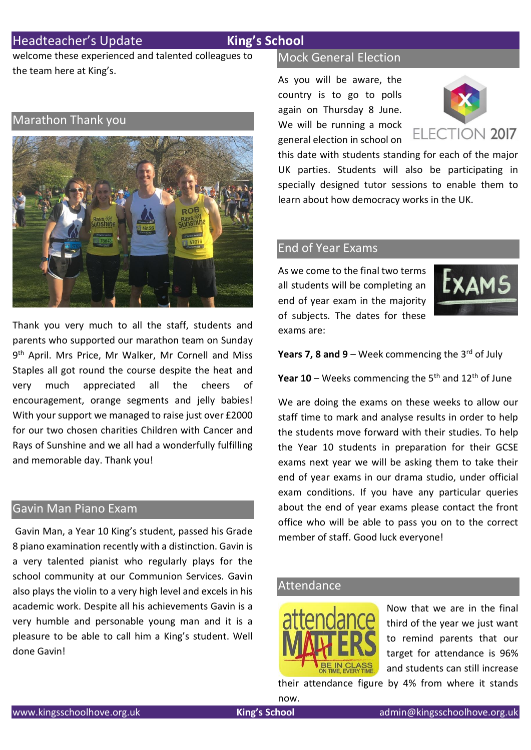# Headteacher's Update **King's School**

welcome these experienced and talented colleagues to the team here at King's.

### Marathon Thank you



Thank you very much to all the staff, students and parents who supported our marathon team on Sunday 9<sup>th</sup> April. Mrs Price, Mr Walker, Mr Cornell and Miss Staples all got round the course despite the heat and very much appreciated all the cheers of encouragement, orange segments and jelly babies! With your support we managed to raise just over £2000 for our two chosen charities Children with Cancer and Rays of Sunshine and we all had a wonderfully fulfilling and memorable day. Thank you!

#### Gavin Man Piano Exam

Gavin Man, a Year 10 King's student, passed his Grade 8 piano examination recently with a distinction. Gavin is a very talented pianist who regularly plays for the school community at our Communion Services. Gavin also plays the violin to a very high level and excels in his academic work. Despite all his achievements Gavin is a very humble and personable young man and it is a pleasure to be able to call him a King's student. Well done Gavin!

#### Mock General Election

As you will be aware, the country is to go to polls again on Thursday 8 June. We will be running a mock general election in school on



this date with students standing for each of the major UK parties. Students will also be participating in specially designed tutor sessions to enable them to learn about how democracy works in the UK.

#### End of Year Exams

As we come to the final two terms all students will be completing an end of year exam in the majority of subjects. The dates for these exams are:



**Years 7, 8 and 9** – Week commencing the  $3^{rd}$  of July

Year 10 – Weeks commencing the 5<sup>th</sup> and 12<sup>th</sup> of June

We are doing the exams on these weeks to allow our staff time to mark and analyse results in order to help the students move forward with their studies. To help the Year 10 students in preparation for their GCSE exams next year we will be asking them to take their end of year exams in our drama studio, under official exam conditions. If you have any particular queries about the end of year exams please contact the front office who will be able to pass you on to the correct member of staff. Good luck everyone!

## Attendance



Now that we are in the final third of the year we just want to remind parents that our target for attendance is 96% and students can still increase

their attendance figure by 4% from where it stands now.